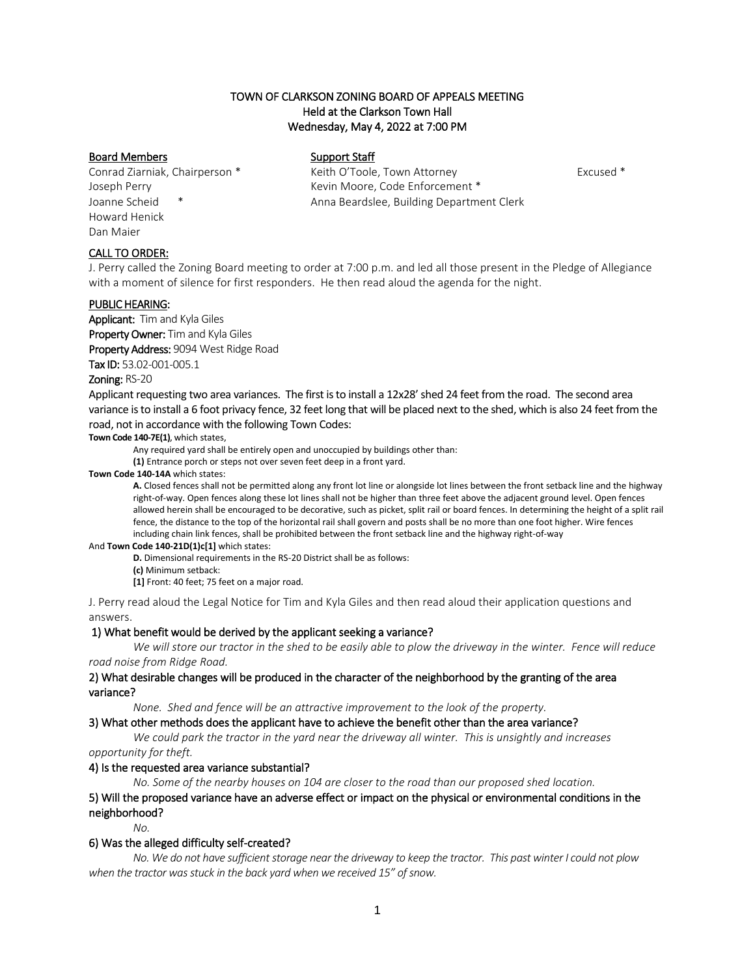## TOWN OF CLARKSON ZONING BOARD OF APPEALS MEETING Held at the Clarkson Town Hall Wednesday, May 4, 2022 at 7:00 PM

## Board Members Support Staff

Howard Henick Dan Maier

Conrad Ziarniak, Chairperson \* Keith O'Toole, Town Attorney Excused \* Joseph Perry **Kevin Moore, Code Enforcement** \* Joanne Scheid \* Anna Beardslee, Building Department Clerk

## CALL TO ORDER:

J. Perry called the Zoning Board meeting to order at 7:00 p.m. and led all those present in the Pledge of Allegiance with a moment of silence for first responders. He then read aloud the agenda for the night.

#### PUBLIC HEARING:

Applicant: Tim and Kyla Giles Property Owner: Tim and Kyla Giles Property Address: 9094 West Ridge Road

Tax ID: 53.02-001-005.1

## Zoning: RS-20

Applicant requesting two area variances. The first is to install a 12x28' shed 24 feet from the road. The second area variance is to install a 6 foot privacy fence, 32 feet long that will be placed next to the shed, which is also 24 feet from the road, not in accordance with the following Town Codes:

**Town Code 140-7E(1)**, which states,

Any required yard shall be entirely open and unoccupied by buildings other than:

**[\(1\)](https://ecode360.com/8650565#8650565)** Entrance porch or steps not over seven feet deep in a front yard.

**Town Cod[e 140-14A](https://ecode360.com/8650595#8650595)** which states:

**[A.](https://ecode360.com/8650596#8650596)** Closed fences shall not be permitted along any front lot line or alongside lot lines between the front setback line and the highway right-of-way. Open fences along these lot lines shall not be higher than three feet above the adjacent ground level. Open fences allowed herein shall be encouraged to be decorative, such as picket, split rail or board fences. In determining the height of a split rail fence, the distance to the top of the horizontal rail shall govern and posts shall be no more than one foot higher. Wire fences including chain link fences, shall be prohibited between the front setback line and the highway right-of-way

#### And **Town Code 140-21D(1)c[1]** which states:

**[D.](https://ecode360.com/8650728#8650728)** Dimensional requirements in the RS-20 District shall be as follows:

**[\(c\)](https://ecode360.com/8650732#8650732)** Minimum setback:

**[\[1\]](https://ecode360.com/8650733#8650733)** Front: 40 feet; 75 feet on a major road.

J. Perry read aloud the Legal Notice for Tim and Kyla Giles and then read aloud their application questions and answers.

#### 1) What benefit would be derived by the applicant seeking a variance?

*We will store our tractor in the shed to be easily able to plow the driveway in the winter. Fence will reduce road noise from Ridge Road.*

## 2) What desirable changes will be produced in the character of the neighborhood by the granting of the area variance?

*None. Shed and fence will be an attractive improvement to the look of the property.*

#### 3) What other methods does the applicant have to achieve the benefit other than the area variance?

*We could park the tractor in the yard near the driveway all winter. This is unsightly and increases opportunity for theft.*

#### 4) Is the requested area variance substantial?

*No. Some of the nearby houses on 104 are closer to the road than our proposed shed location.*

5) Will the proposed variance have an adverse effect or impact on the physical or environmental conditions in the neighborhood?

*No.*

## 6) Was the alleged difficulty self-created?

*No. We do not have sufficient storage near the driveway to keep the tractor. This past winter I could not plow when the tractor was stuck in the back yard when we received 15" of snow.*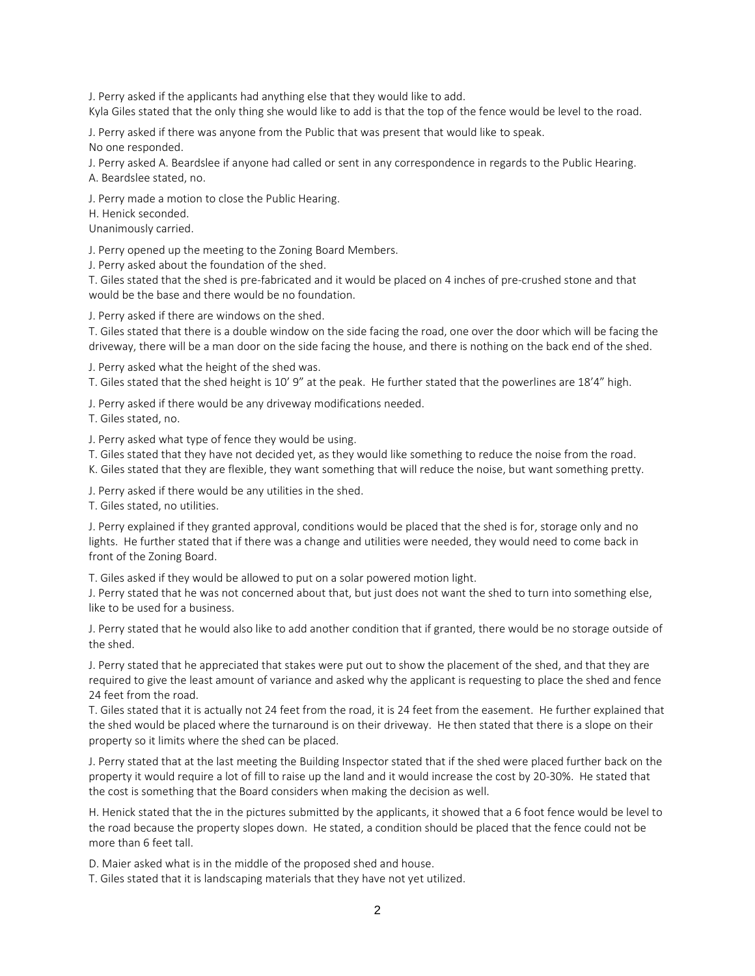J. Perry asked if the applicants had anything else that they would like to add.

Kyla Giles stated that the only thing she would like to add is that the top of the fence would be level to the road.

J. Perry asked if there was anyone from the Public that was present that would like to speak. No one responded.

J. Perry asked A. Beardslee if anyone had called or sent in any correspondence in regards to the Public Hearing. A. Beardslee stated, no.

J. Perry made a motion to close the Public Hearing.

H. Henick seconded.

Unanimously carried.

J. Perry opened up the meeting to the Zoning Board Members.

J. Perry asked about the foundation of the shed.

T. Giles stated that the shed is pre-fabricated and it would be placed on 4 inches of pre-crushed stone and that would be the base and there would be no foundation.

J. Perry asked if there are windows on the shed.

T. Giles stated that there is a double window on the side facing the road, one over the door which will be facing the driveway, there will be a man door on the side facing the house, and there is nothing on the back end of the shed.

J. Perry asked what the height of the shed was.

T. Giles stated that the shed height is 10' 9" at the peak. He further stated that the powerlines are 18'4" high.

J. Perry asked if there would be any driveway modifications needed.

T. Giles stated, no.

J. Perry asked what type of fence they would be using.

T. Giles stated that they have not decided yet, as they would like something to reduce the noise from the road.

K. Giles stated that they are flexible, they want something that will reduce the noise, but want something pretty.

J. Perry asked if there would be any utilities in the shed.

T. Giles stated, no utilities.

J. Perry explained if they granted approval, conditions would be placed that the shed is for, storage only and no lights. He further stated that if there was a change and utilities were needed, they would need to come back in front of the Zoning Board.

T. Giles asked if they would be allowed to put on a solar powered motion light.

J. Perry stated that he was not concerned about that, but just does not want the shed to turn into something else, like to be used for a business.

J. Perry stated that he would also like to add another condition that if granted, there would be no storage outside of the shed.

J. Perry stated that he appreciated that stakes were put out to show the placement of the shed, and that they are required to give the least amount of variance and asked why the applicant is requesting to place the shed and fence 24 feet from the road.

T. Giles stated that it is actually not 24 feet from the road, it is 24 feet from the easement. He further explained that the shed would be placed where the turnaround is on their driveway. He then stated that there is a slope on their property so it limits where the shed can be placed.

J. Perry stated that at the last meeting the Building Inspector stated that if the shed were placed further back on the property it would require a lot of fill to raise up the land and it would increase the cost by 20-30%. He stated that the cost is something that the Board considers when making the decision as well.

H. Henick stated that the in the pictures submitted by the applicants, it showed that a 6 foot fence would be level to the road because the property slopes down. He stated, a condition should be placed that the fence could not be more than 6 feet tall.

D. Maier asked what is in the middle of the proposed shed and house.

T. Giles stated that it is landscaping materials that they have not yet utilized.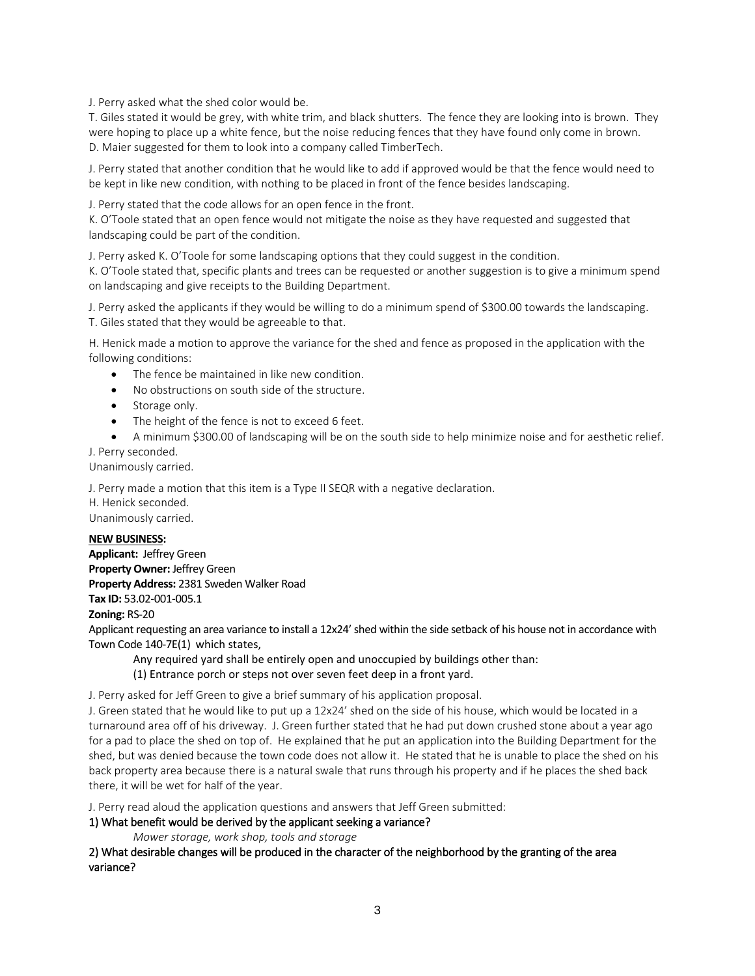J. Perry asked what the shed color would be.

T. Giles stated it would be grey, with white trim, and black shutters. The fence they are looking into is brown. They were hoping to place up a white fence, but the noise reducing fences that they have found only come in brown. D. Maier suggested for them to look into a company called TimberTech.

J. Perry stated that another condition that he would like to add if approved would be that the fence would need to be kept in like new condition, with nothing to be placed in front of the fence besides landscaping.

J. Perry stated that the code allows for an open fence in the front.

K. O'Toole stated that an open fence would not mitigate the noise as they have requested and suggested that landscaping could be part of the condition.

J. Perry asked K. O'Toole for some landscaping options that they could suggest in the condition.

K. O'Toole stated that, specific plants and trees can be requested or another suggestion is to give a minimum spend on landscaping and give receipts to the Building Department.

J. Perry asked the applicants if they would be willing to do a minimum spend of \$300.00 towards the landscaping. T. Giles stated that they would be agreeable to that.

H. Henick made a motion to approve the variance for the shed and fence as proposed in the application with the following conditions:

- The fence be maintained in like new condition.
- No obstructions on south side of the structure.
- Storage only.
- The height of the fence is not to exceed 6 feet.
- A minimum \$300.00 of landscaping will be on the south side to help minimize noise and for aesthetic relief.

## J. Perry seconded.

Unanimously carried.

J. Perry made a motion that this item is a Type II SEQR with a negative declaration. H. Henick seconded. Unanimously carried.

#### **NEW BUSINESS:**

**Applicant:** Jeffrey Green **Property Owner:** Jeffrey Green **Property Address:** 2381 Sweden Walker Road **Tax ID:** 53.02-001-005.1

## **Zoning:** RS-20

Applicant requesting an area variance to install a 12x24' shed within the side setback of his house not in accordance with Town Code 140-7E(1[\) w](https://ecode360.com/8650564#8650564)hich states,

Any required yard shall be entirely open and unoccupied by buildings other than: [\(1\)](https://ecode360.com/8650565#8650565) Entrance porch or steps not over seven feet deep in a front yard.

J. Perry asked for Jeff Green to give a brief summary of his application proposal.

J. Green stated that he would like to put up a 12x24' shed on the side of his house, which would be located in a turnaround area off of his driveway. J. Green further stated that he had put down crushed stone about a year ago for a pad to place the shed on top of. He explained that he put an application into the Building Department for the shed, but was denied because the town code does not allow it. He stated that he is unable to place the shed on his back property area because there is a natural swale that runs through his property and if he places the shed back there, it will be wet for half of the year.

J. Perry read aloud the application questions and answers that Jeff Green submitted:

## 1) What benefit would be derived by the applicant seeking a variance?

*Mower storage, work shop, tools and storage*

2) What desirable changes will be produced in the character of the neighborhood by the granting of the area variance?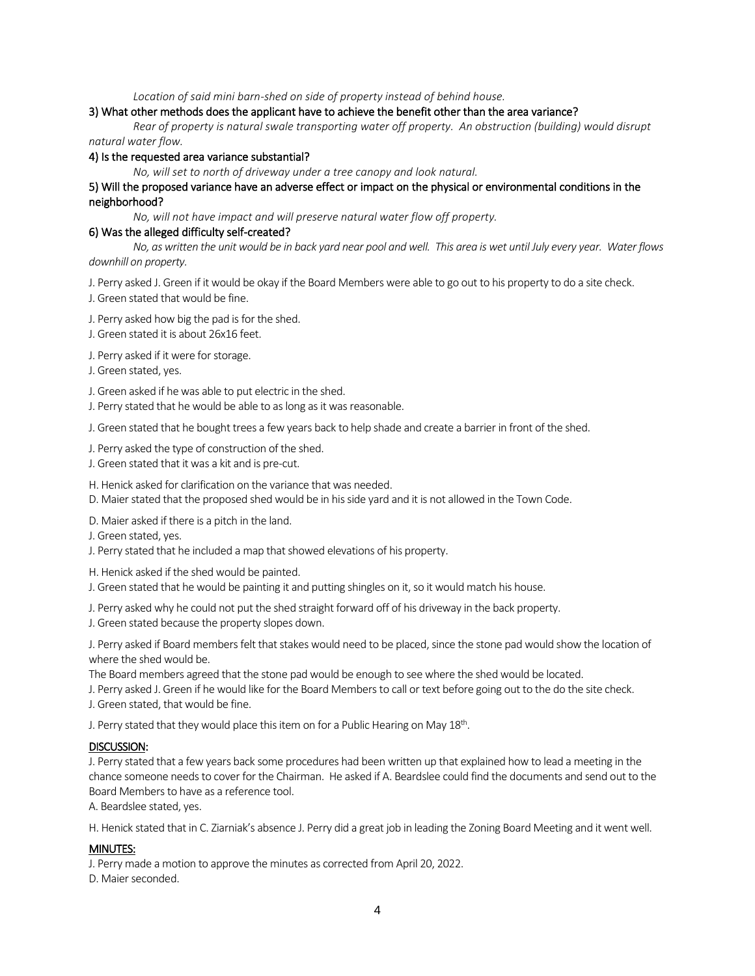*Location of said mini barn-shed on side of property instead of behind house.*

#### 3) What other methods does the applicant have to achieve the benefit other than the area variance?

*Rear of property is natural swale transporting water off property. An obstruction (building) would disrupt natural water flow.*

#### 4) Is the requested area variance substantial?

*No, will set to north of driveway under a tree canopy and look natural.*

## 5) Will the proposed variance have an adverse effect or impact on the physical or environmental conditions in the neighborhood?

*No, will not have impact and will preserve natural water flow off property.*

#### 6) Was the alleged difficulty self-created?

*No, as written the unit would be in back yard near pool and well. This area is wet until July every year. Water flows downhill on property.*

- J. Perry asked J. Green if it would be okay if the Board Members were able to go out to his property to do a site check. J. Green stated that would be fine.
- 
- J. Perry asked how big the pad is for the shed.
- J. Green stated it is about 26x16 feet.

J. Perry asked if it were for storage.

J. Green stated, yes.

J. Green asked if he was able to put electric in the shed.

J. Perry stated that he would be able to as long as it was reasonable.

J. Green stated that he bought trees a few years back to help shade and create a barrier in front of the shed.

- J. Perry asked the type of construction of the shed.
- J. Green stated that it was a kit and is pre-cut.
- H. Henick asked for clarification on the variance that was needed.
- D. Maier stated that the proposed shed would be in his side yard and it is not allowed in the Town Code.

D. Maier asked if there is a pitch in the land.

- J. Green stated, yes.
- J. Perry stated that he included a map that showed elevations of his property.

H. Henick asked if the shed would be painted.

- J. Green stated that he would be painting it and putting shingles on it, so it would match his house.
- J. Perry asked why he could not put the shed straight forward off of his driveway in the back property.
- J. Green stated because the property slopes down.

J. Perry asked if Board members felt that stakes would need to be placed, since the stone pad would show the location of where the shed would be.

The Board members agreed that the stone pad would be enough to see where the shed would be located.

J. Perry asked J. Green if he would like for the Board Members to call or text before going out to the do the site check.

J. Green stated, that would be fine.

J. Perry stated that they would place this item on for a Public Hearing on May  $18^{\text{th}}$ .

#### DISCUSSION:

J. Perry stated that a few years back some procedures had been written up that explained how to lead a meeting in the chance someone needs to cover for the Chairman. He asked if A. Beardslee could find the documents and send out to the Board Members to have as a reference tool.

A. Beardslee stated, yes.

H. Henick stated that in C. Ziarniak's absence J. Perry did a great job in leading the Zoning Board Meeting and it went well.

## MINUTES:

J. Perry made a motion to approve the minutes as corrected from April 20, 2022.

D. Maier seconded.